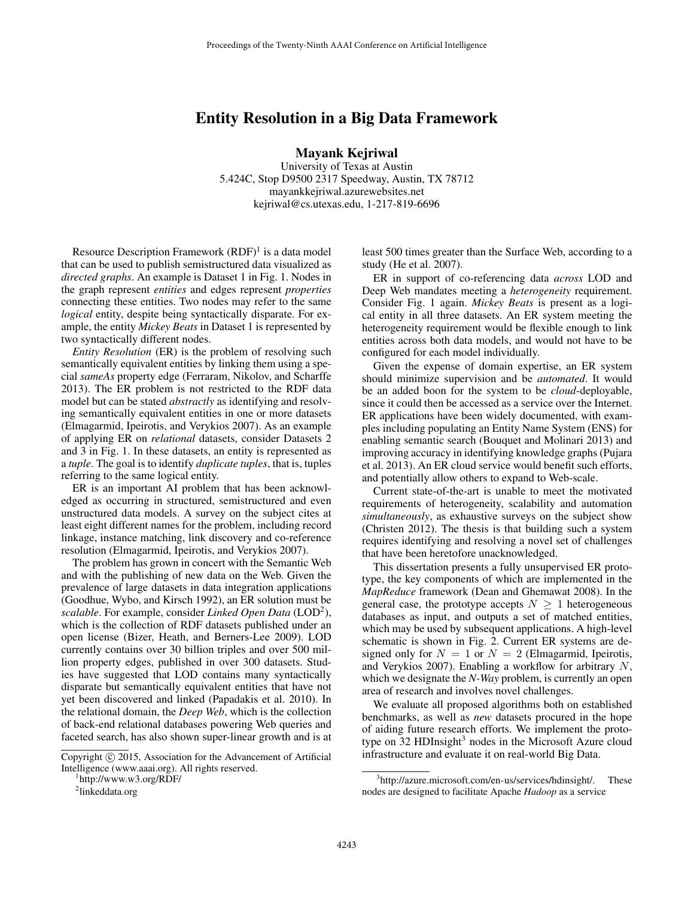## Entity Resolution in a Big Data Framework

Mayank Kejriwal

University of Texas at Austin 5.424C, Stop D9500 2317 Speedway, Austin, TX 78712 mayankkejriwal.azurewebsites.net kejriwal@cs.utexas.edu, 1-217-819-6696

Resource Description Framework  $(RDF)^1$  is a data model that can be used to publish semistructured data visualized as *directed graphs*. An example is Dataset 1 in Fig. 1. Nodes in the graph represent *entities* and edges represent *properties* connecting these entities. Two nodes may refer to the same *logical* entity, despite being syntactically disparate. For example, the entity *Mickey Beats* in Dataset 1 is represented by two syntactically different nodes.

*Entity Resolution* (ER) is the problem of resolving such semantically equivalent entities by linking them using a special *sameAs* property edge (Ferraram, Nikolov, and Scharffe 2013). The ER problem is not restricted to the RDF data model but can be stated *abstractly* as identifying and resolving semantically equivalent entities in one or more datasets (Elmagarmid, Ipeirotis, and Verykios 2007). As an example of applying ER on *relational* datasets, consider Datasets 2 and 3 in Fig. 1. In these datasets, an entity is represented as a *tuple*. The goal is to identify *duplicate tuples*, that is, tuples referring to the same logical entity.

ER is an important AI problem that has been acknowledged as occurring in structured, semistructured and even unstructured data models. A survey on the subject cites at least eight different names for the problem, including record linkage, instance matching, link discovery and co-reference resolution (Elmagarmid, Ipeirotis, and Verykios 2007).

The problem has grown in concert with the Semantic Web and with the publishing of new data on the Web. Given the prevalence of large datasets in data integration applications (Goodhue, Wybo, and Kirsch 1992), an ER solution must be scalable. For example, consider *Linked Open Data* (LOD<sup>2</sup>), which is the collection of RDF datasets published under an open license (Bizer, Heath, and Berners-Lee 2009). LOD currently contains over 30 billion triples and over 500 million property edges, published in over 300 datasets. Studies have suggested that LOD contains many syntactically disparate but semantically equivalent entities that have not yet been discovered and linked (Papadakis et al. 2010). In the relational domain, the *Deep Web*, which is the collection of back-end relational databases powering Web queries and faceted search, has also shown super-linear growth and is at

Copyright  $\odot$  2015, Association for the Advancement of Artificial Intelligence (www.aaai.org). All rights reserved.

1 http://www.w3.org/RDF/

least 500 times greater than the Surface Web, according to a study (He et al. 2007).

ER in support of co-referencing data *across* LOD and Deep Web mandates meeting a *heterogeneity* requirement. Consider Fig. 1 again. *Mickey Beats* is present as a logical entity in all three datasets. An ER system meeting the heterogeneity requirement would be flexible enough to link entities across both data models, and would not have to be configured for each model individually.

Given the expense of domain expertise, an ER system should minimize supervision and be *automated*. It would be an added boon for the system to be *cloud*-deployable, since it could then be accessed as a service over the Internet. ER applications have been widely documented, with examples including populating an Entity Name System (ENS) for enabling semantic search (Bouquet and Molinari 2013) and improving accuracy in identifying knowledge graphs (Pujara et al. 2013). An ER cloud service would benefit such efforts, and potentially allow others to expand to Web-scale.

Current state-of-the-art is unable to meet the motivated requirements of heterogeneity, scalability and automation *simultaneously*, as exhaustive surveys on the subject show (Christen 2012). The thesis is that building such a system requires identifying and resolving a novel set of challenges that have been heretofore unacknowledged.

This dissertation presents a fully unsupervised ER prototype, the key components of which are implemented in the *MapReduce* framework (Dean and Ghemawat 2008). In the general case, the prototype accepts  $N \geq 1$  heterogeneous databases as input, and outputs a set of matched entities, which may be used by subsequent applications. A high-level schematic is shown in Fig. 2. Current ER systems are designed only for  $N = 1$  or  $N = 2$  (Elmagarmid, Ipeirotis, and Verykios 2007). Enabling a workflow for arbitrary  $N$ , which we designate the *N-Way* problem, is currently an open area of research and involves novel challenges.

We evaluate all proposed algorithms both on established benchmarks, as well as *new* datasets procured in the hope of aiding future research efforts. We implement the prototype on 32 HDInsight<sup>3</sup> nodes in the Microsoft Azure cloud infrastructure and evaluate it on real-world Big Data.

<sup>&</sup>lt;sup>2</sup>linkeddata.org

<sup>&</sup>lt;sup>3</sup>http://azure.microsoft.com/en-us/services/hdinsight/. These nodes are designed to facilitate Apache *Hadoop* as a service